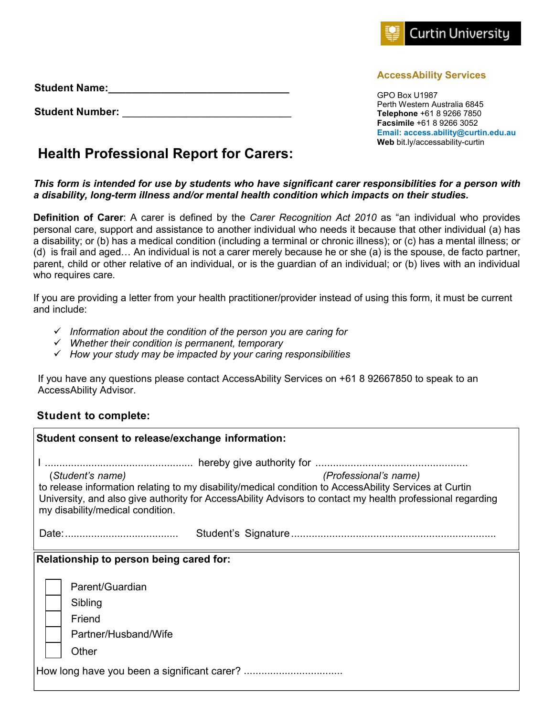

GPO Box U1987 Perth Western Australia 6845 **Telephone** +61 8 9266 7850 **Facsimile** +61 8 9266 3052 **Email: access.ability@curtin.edu.au Web** bit.ly/accessability-curtin

## **Health Professional Report for Carers:**

**Student Name:\_\_\_\_\_\_\_\_\_\_\_\_\_\_\_\_\_\_\_\_\_\_\_\_\_\_\_\_\_\_\_**

**Student Number:** \_\_\_\_\_\_\_\_\_\_\_\_\_\_\_\_\_\_\_\_\_\_\_\_\_\_\_\_\_

## *This form is intended for use by students who have significant carer responsibilities for a person with a disability, long-term illness and/or mental health condition which impacts on their studies.*

**Definition of Carer**: A carer is defined by the *Carer Recognition Act 2010* as "an individual who provides personal care, support and assistance to another individual who needs it because that other individual (a) has a disability; or (b) has a medical condition (including a terminal or chronic illness); or (c) has a mental illness; or (d) is frail and aged… An individual is not a carer merely because he or she (a) is the spouse, de facto partner, parent, child or other relative of an individual, or is the guardian of an individual; or (b) lives with an individual who requires care.

If you are providing a letter from your health practitioner/provider instead of using this form, it must be current and include:

- *Information about the condition of the person you are caring for*
- *Whether their condition is permanent, temporary*
- *How your study may be impacted by your caring responsibilities*

If you have any questions please contact AccessAbility Services on +61 8 92667850 to speak to an AccessAbility Advisor.

## **Student to complete:**

| Student consent to release/exchange information:                                                                                                                                                                                                         |  |  |
|----------------------------------------------------------------------------------------------------------------------------------------------------------------------------------------------------------------------------------------------------------|--|--|
|                                                                                                                                                                                                                                                          |  |  |
| (Professional's name)<br>(Student's name)                                                                                                                                                                                                                |  |  |
| to release information relating to my disability/medical condition to AccessAbility Services at Curtin<br>University, and also give authority for AccessAbility Advisors to contact my health professional regarding<br>my disability/medical condition. |  |  |
|                                                                                                                                                                                                                                                          |  |  |
| Relationship to person being cared for:                                                                                                                                                                                                                  |  |  |
| Parent/Guardian                                                                                                                                                                                                                                          |  |  |
| Sibling                                                                                                                                                                                                                                                  |  |  |
| Friend                                                                                                                                                                                                                                                   |  |  |
| Partner/Husband/Wife                                                                                                                                                                                                                                     |  |  |
| Other                                                                                                                                                                                                                                                    |  |  |
|                                                                                                                                                                                                                                                          |  |  |